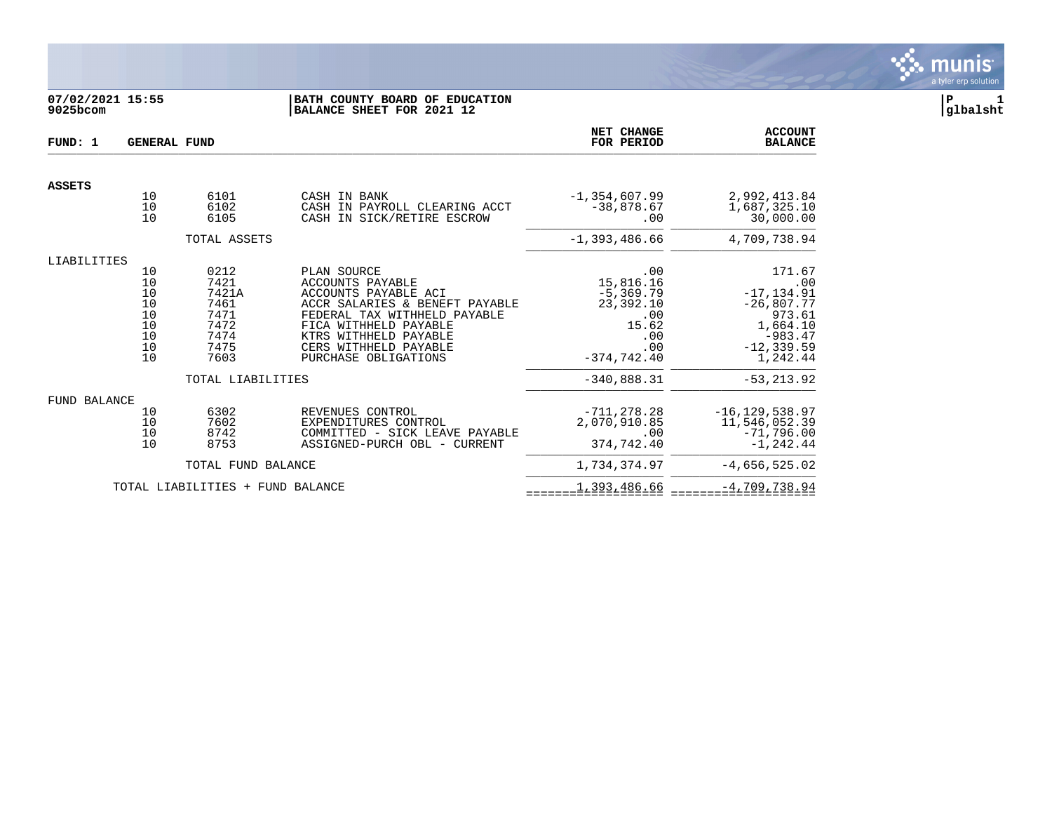

# **07/02/2021 15:55 |BATH COUNTY BOARD OF EDUCATION |P 1 9025bcom |BALANCE SHEET FOR 2021 12 |glbalsht**

| FUND: 1       | <b>GENERAL FUND</b>                                |                                                                       | NET CHANGE<br>FOR PERIOD                                                                                                                                                                                                            | <b>ACCOUNT</b><br><b>BALANCE</b>                                                             |                                                                                                                |
|---------------|----------------------------------------------------|-----------------------------------------------------------------------|-------------------------------------------------------------------------------------------------------------------------------------------------------------------------------------------------------------------------------------|----------------------------------------------------------------------------------------------|----------------------------------------------------------------------------------------------------------------|
| <b>ASSETS</b> |                                                    |                                                                       |                                                                                                                                                                                                                                     |                                                                                              |                                                                                                                |
|               | 10<br>10<br>10                                     | 6101<br>6102<br>6105                                                  | CASH IN BANK<br>CASH IN PAYROLL CLEARING ACCT<br>CASH IN SICK/RETIRE ESCROW                                                                                                                                                         | $-1, 354, 607.99$<br>$-38,878.67$<br>.00                                                     | 2,992,413.84<br>1,687,325.10<br>30,000.00                                                                      |
|               |                                                    | TOTAL ASSETS                                                          |                                                                                                                                                                                                                                     | $-1,393,486.66$                                                                              | 4,709,738.94                                                                                                   |
| LIABILITIES   |                                                    |                                                                       |                                                                                                                                                                                                                                     |                                                                                              |                                                                                                                |
|               | 10<br>10<br>10<br>10<br>10<br>10<br>10<br>10<br>10 | 0212<br>7421<br>7421A<br>7461<br>7471<br>7472<br>7474<br>7475<br>7603 | PLAN SOURCE<br><b>ACCOUNTS PAYABLE</b><br>ACCOUNTS PAYABLE ACI<br>ACCR SALARIES & BENEFT PAYABLE<br>FEDERAL TAX WITHHELD PAYABLE<br>FICA WITHHELD PAYABLE<br>KTRS WITHHELD PAYABLE<br>CERS WITHHELD PAYABLE<br>PURCHASE OBLIGATIONS | .00<br>15,816.16<br>$-5, 369.79$<br>23,392.10<br>.00<br>15.62<br>.00<br>.00<br>$-374,742.40$ | 171.67<br>.00<br>$-17, 134.91$<br>$-26,807.77$<br>973.61<br>1,664.10<br>$-983.47$<br>$-12, 339.59$<br>1,242.44 |
|               |                                                    | TOTAL LIABILITIES                                                     |                                                                                                                                                                                                                                     | $-340,888.31$                                                                                | $-53, 213.92$                                                                                                  |
| FUND BALANCE  | 10<br>10<br>10<br>10                               | 6302<br>7602<br>8742<br>8753                                          | REVENUES CONTROL<br>EXPENDITURES CONTROL<br>COMMITTED - SICK LEAVE PAYABLE<br>ASSIGNED-PURCH OBL - CURRENT                                                                                                                          | $-711.278.28$<br>2,070,910.85<br>.00<br>374,742.40                                           | $-16, 129, 538.97$<br>11,546,052.39<br>$-71,796.00$<br>$-1, 242.44$                                            |
|               |                                                    | TOTAL FUND BALANCE                                                    |                                                                                                                                                                                                                                     | 1,734,374.97                                                                                 | $-4,656,525.02$                                                                                                |
|               |                                                    | TOTAL LIABILITIES + FUND BALANCE                                      |                                                                                                                                                                                                                                     | 1,393,486.66                                                                                 | $-4,709,738.94$                                                                                                |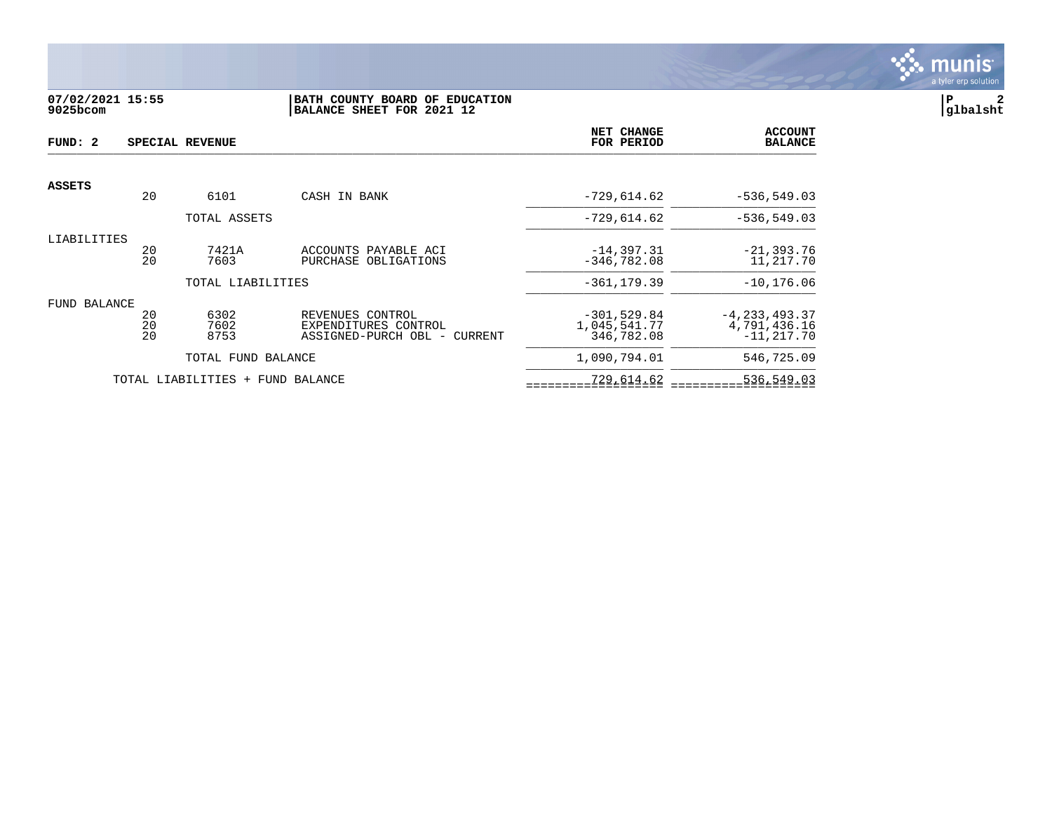

## **07/02/2021 15:55 |BATH COUNTY BOARD OF EDUCATION |P 2 9025bcom |BALANCE SHEET FOR 2021 12 |glbalsht**

| FUND: 2       |                | SPECIAL REVENUE                  |                                                                          | NET CHANGE<br>FOR PERIOD                    | <b>ACCOUNT</b><br><b>BALANCE</b>                    |
|---------------|----------------|----------------------------------|--------------------------------------------------------------------------|---------------------------------------------|-----------------------------------------------------|
| <b>ASSETS</b> |                |                                  |                                                                          |                                             |                                                     |
|               | 20             | 6101                             | CASH IN BANK                                                             | $-729,614.62$                               | $-536, 549.03$                                      |
|               |                | TOTAL ASSETS                     |                                                                          | $-729,614.62$                               | $-536, 549.03$                                      |
| LIABILITIES   | 20<br>20       | 7421A<br>7603                    | ACCOUNTS PAYABLE ACI<br>PURCHASE OBLIGATIONS                             | $-14, 397.31$<br>$-346.782.08$              | $-21, 393.76$<br>11,217.70                          |
|               |                | TOTAL LIABILITIES                |                                                                          | $-361.179.39$                               | $-10, 176.06$                                       |
| FUND BALANCE  | 20<br>20<br>20 | 6302<br>7602<br>8753             | REVENUES CONTROL<br>EXPENDITURES CONTROL<br>ASSIGNED-PURCH OBL - CURRENT | $-301,529.84$<br>1,045,541.77<br>346,782.08 | $-4, 233, 493.37$<br>4,791,436.16<br>$-11, 217, 70$ |
|               |                | TOTAL FUND BALANCE               |                                                                          | 1,090,794.01                                | 546,725.09                                          |
|               |                | TOTAL LIABILITIES + FUND BALANCE |                                                                          | 729,614.62                                  | 536,549.03                                          |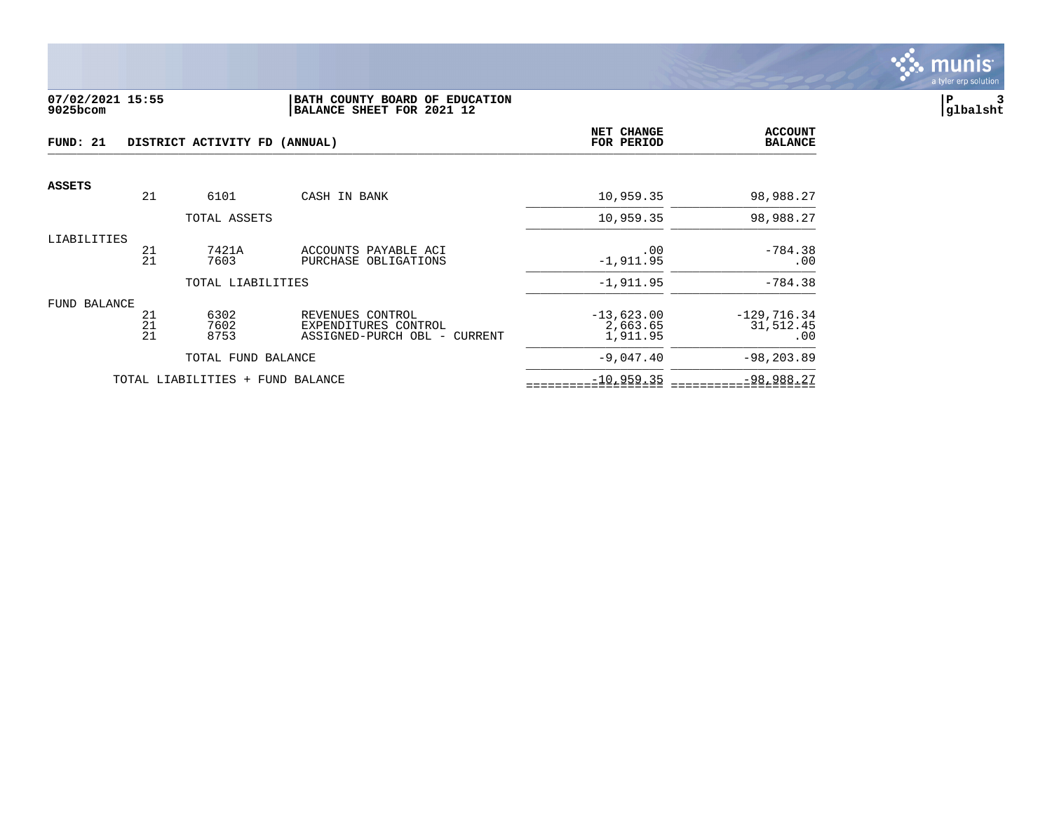

#### **07/02/2021 15:55 |BATH COUNTY BOARD OF EDUCATION |P 3 9025bcom |BALANCE SHEET FOR 2021 12 |glbalsht**

| FUND: 21<br>DISTRICT ACTIVITY FD (ANNUAL) |                |                                  | NET CHANGE<br>FOR PERIOD                                                 | <b>ACCOUNT</b><br><b>BALANCE</b>     |                                   |
|-------------------------------------------|----------------|----------------------------------|--------------------------------------------------------------------------|--------------------------------------|-----------------------------------|
| ASSETS                                    | 21             | 6101                             | CASH IN BANK                                                             | 10,959.35                            | 98,988.27                         |
|                                           |                | TOTAL ASSETS                     |                                                                          | 10,959.35                            | 98,988.27                         |
| LIABILITIES                               | 21<br>21       | 7421A<br>7603                    | ACCOUNTS PAYABLE ACI<br>PURCHASE OBLIGATIONS                             | .00<br>$-1,911.95$                   | $-784.38$<br>.00                  |
|                                           |                | TOTAL LIABILITIES                |                                                                          | $-1,911.95$                          | $-784.38$                         |
| FUND BALANCE                              | 21<br>21<br>21 | 6302<br>7602<br>8753             | REVENUES CONTROL<br>EXPENDITURES CONTROL<br>ASSIGNED-PURCH OBL - CURRENT | $-13,623.00$<br>2,663.65<br>1,911.95 | $-129,716.34$<br>31,512.45<br>.00 |
|                                           |                | TOTAL FUND BALANCE               |                                                                          | $-9,047.40$                          | $-98, 203.89$                     |
|                                           |                | TOTAL LIABILITIES + FUND BALANCE |                                                                          | $-10,959.35$                         | $-98,988.27$                      |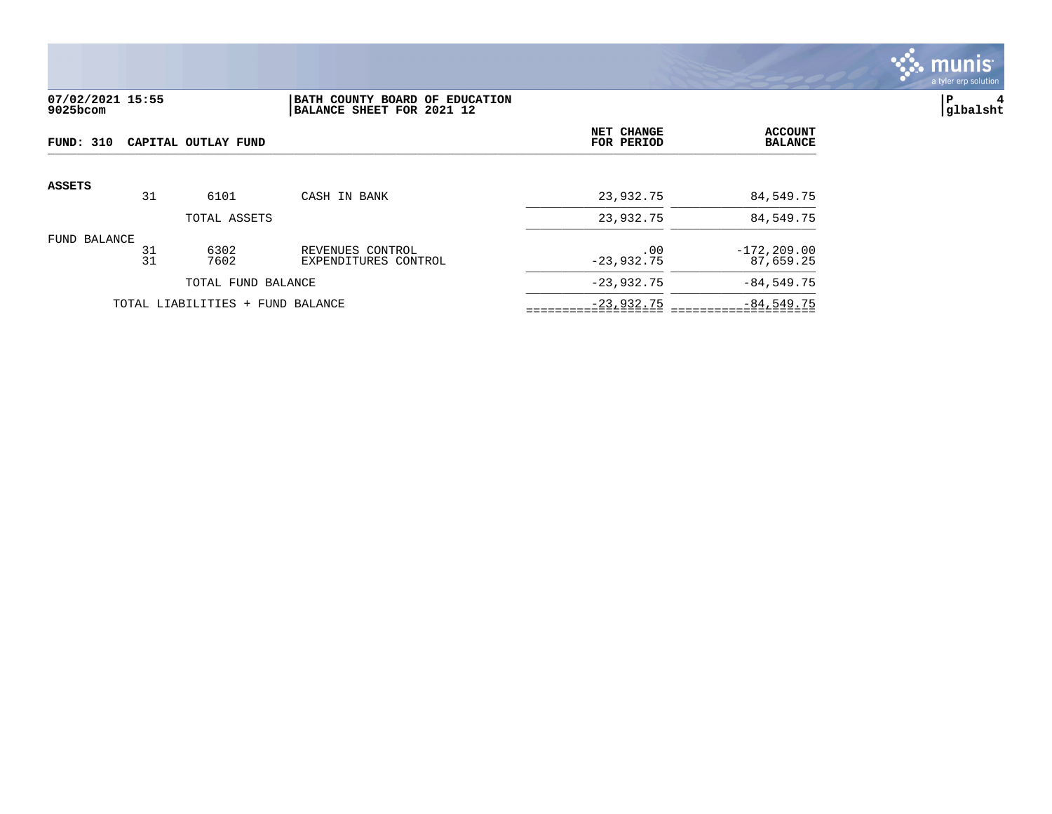

# **07/02/2021 15:55 |BATH COUNTY BOARD OF EDUCATION |P 4 9025bcom |BALANCE SHEET FOR 2021 12 |glbalsht**

| FUND: 310<br>CAPITAL OUTLAY FUND |          |                                  |                                          | NET CHANGE<br>FOR PERIOD | <b>ACCOUNT</b><br><b>BALANCE</b> |
|----------------------------------|----------|----------------------------------|------------------------------------------|--------------------------|----------------------------------|
| <b>ASSETS</b>                    |          |                                  |                                          |                          |                                  |
|                                  | 31       | 6101                             | CASH IN BANK                             | 23,932.75                | 84,549.75                        |
|                                  |          | TOTAL ASSETS                     |                                          | 23,932.75                | 84,549.75                        |
| FUND BALANCE                     | 31<br>31 | 6302<br>7602                     | REVENUES CONTROL<br>EXPENDITURES CONTROL | .00<br>$-23,932.75$      | $-172, 209.00$<br>87,659.25      |
|                                  |          | TOTAL FUND BALANCE               |                                          | $-23,932.75$             | $-84, 549.75$                    |
|                                  |          | TOTAL LIABILITIES + FUND BALANCE |                                          | $-23,932.75$             | $-84,549.75$                     |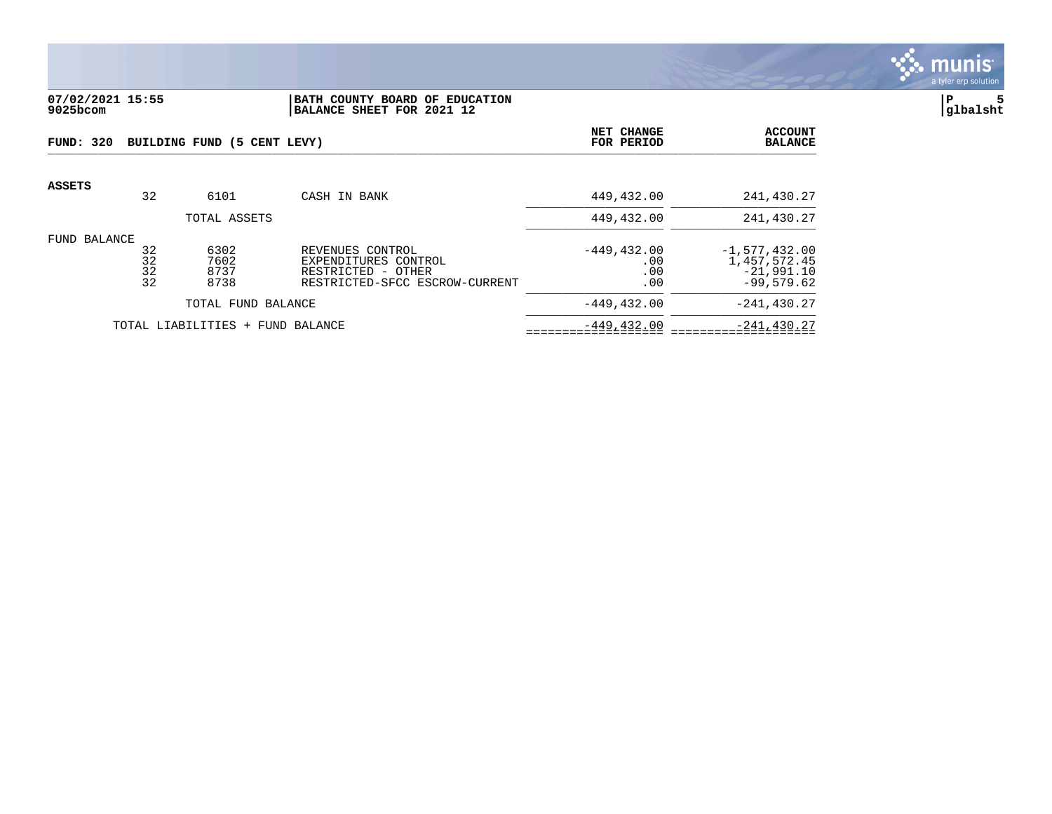

## **07/02/2021 15:55 |BATH COUNTY BOARD OF EDUCATION |P 5 9025bcom |BALANCE SHEET FOR 2021 12 |glbalsht**

| FUND: 320<br>BUILDING FUND (5 CENT LEVY) |                                     |                              |                                                                                                  | NET CHANGE<br>FOR PERIOD            | <b>ACCOUNT</b><br><b>BALANCE</b>                                |
|------------------------------------------|-------------------------------------|------------------------------|--------------------------------------------------------------------------------------------------|-------------------------------------|-----------------------------------------------------------------|
| <b>ASSETS</b>                            | 32                                  | 6101                         | CASH IN BANK                                                                                     | 449,432.00                          | 241,430.27                                                      |
|                                          |                                     | TOTAL ASSETS                 |                                                                                                  | 449,432.00                          | 241,430.27                                                      |
| FUND BALANCE                             | 32<br>32<br>32<br>32                | 6302<br>7602<br>8737<br>8738 | REVENUES CONTROL<br>EXPENDITURES CONTROL<br>RESTRICTED - OTHER<br>RESTRICTED-SFCC ESCROW-CURRENT | $-449, 432.00$<br>.00<br>.00<br>.00 | $-1,577,432.00$<br>1,457,572.45<br>$-21,991.10$<br>$-99,579.62$ |
| TOTAL FUND BALANCE                       |                                     |                              | $-449, 432.00$                                                                                   | $-241, 430.27$                      |                                                                 |
|                                          | TOTAL LIABILITIES +<br>FUND BALANCE |                              |                                                                                                  | $-449, 432.00$                      | $-241, 430.27$                                                  |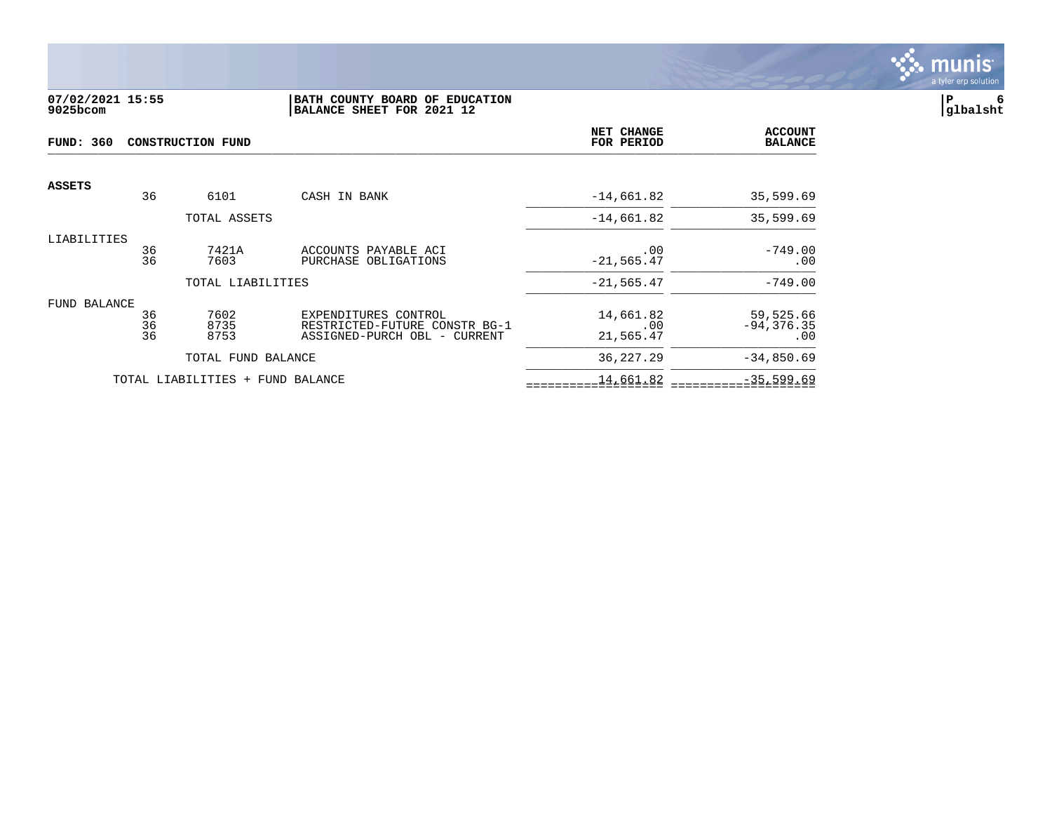

## **07/02/2021 15:55 |BATH COUNTY BOARD OF EDUCATION |P 6 9025bcom |BALANCE SHEET FOR 2021 12 |glbalsht**

| <b>FUND: 360</b><br><b>CONSTRUCTION FUND</b> |                |                                  | NET CHANGE<br>FOR PERIOD                                                              | <b>ACCOUNT</b><br><b>BALANCE</b> |                                   |
|----------------------------------------------|----------------|----------------------------------|---------------------------------------------------------------------------------------|----------------------------------|-----------------------------------|
| <b>ASSETS</b>                                | 36             | 6101                             | CASH IN BANK                                                                          | $-14,661.82$                     | 35,599.69                         |
|                                              |                | TOTAL ASSETS                     |                                                                                       | $-14,661.82$                     | 35,599.69                         |
| LIABILITIES                                  | 36<br>36       | 7421A<br>7603                    | ACCOUNTS PAYABLE ACI<br>PURCHASE OBLIGATIONS                                          | .00<br>$-21, 565.47$             | $-749.00$<br>.00                  |
|                                              |                | TOTAL LIABILITIES                |                                                                                       | $-21, 565.47$                    | $-749.00$                         |
| FUND BALANCE                                 | 36<br>36<br>36 | 7602<br>8735<br>8753             | EXPENDITURES CONTROL<br>RESTRICTED-FUTURE CONSTR BG-1<br>ASSIGNED-PURCH OBL - CURRENT | 14,661.82<br>.00<br>21,565.47    | 59,525.66<br>$-94, 376.35$<br>.00 |
|                                              |                | TOTAL FUND BALANCE               |                                                                                       | 36, 227. 29                      | $-34,850.69$                      |
|                                              |                | TOTAL LIABILITIES + FUND BALANCE |                                                                                       | 14,661.82                        | $-35,599.69$                      |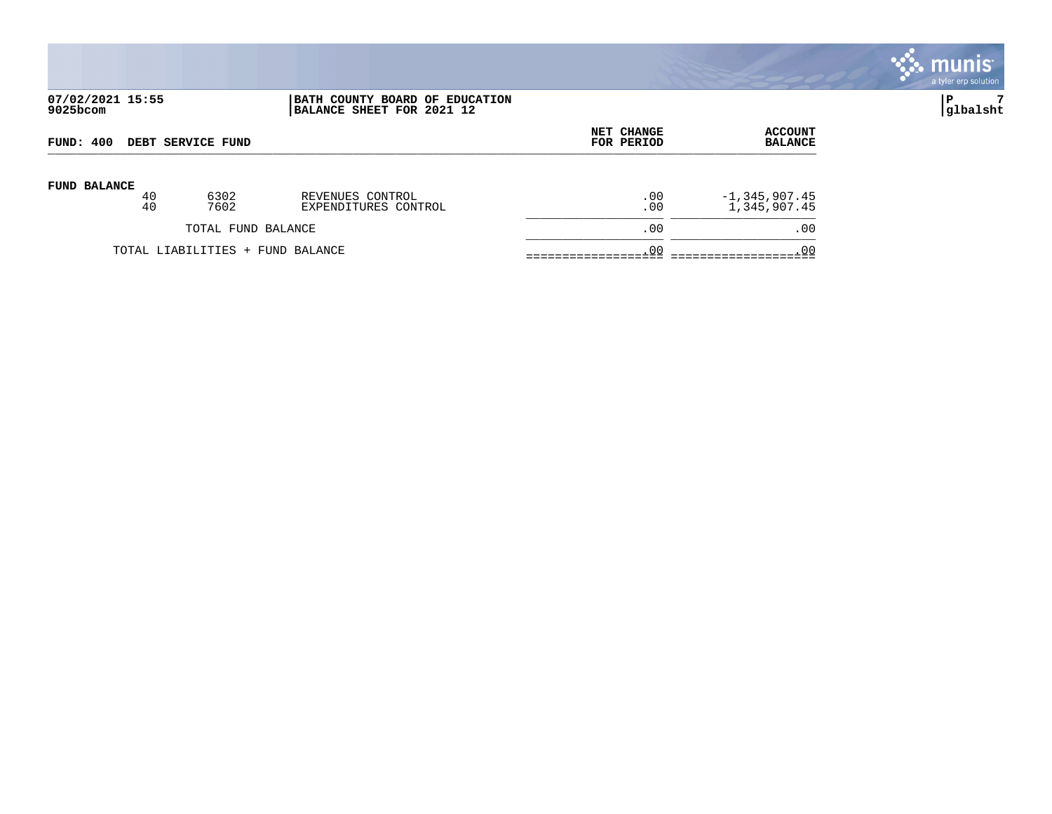

| FUND: 400                |    |                                  | <b>NET CHANGE</b>    | <b>ACCOUNT</b> |                   |
|--------------------------|----|----------------------------------|----------------------|----------------|-------------------|
| <b>DEBT SERVICE FUND</b> |    |                                  | FOR PERIOD           | <b>BALANCE</b> |                   |
| <b>FUND BALANCE</b>      | 40 | 6302                             | REVENUES CONTROL     | .00            | $-1, 345, 907.45$ |
|                          | 40 | 7602                             | EXPENDITURES CONTROL | .00            | 1,345,907.45      |
|                          |    | TOTAL FUND BALANCE               |                      | .00            | .00               |
|                          |    | TOTAL LIABILITIES + FUND BALANCE |                      | .00            | . 00              |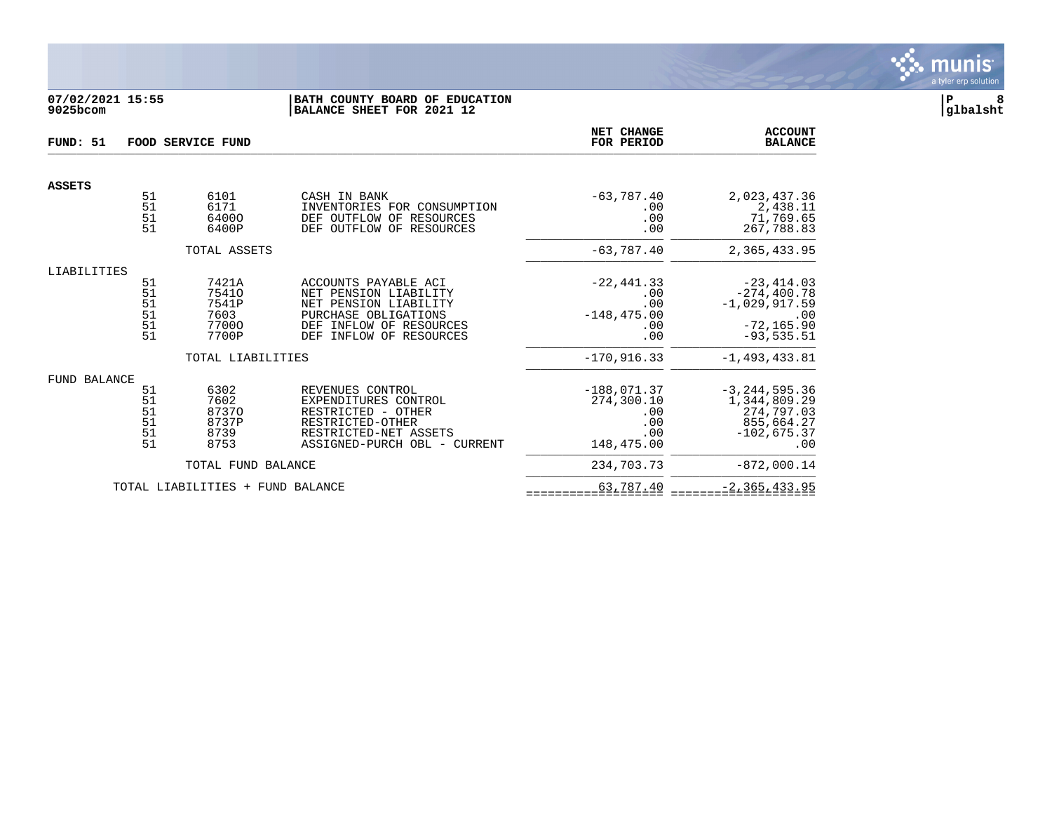

# **07/02/2021 15:55 |BATH COUNTY BOARD OF EDUCATION |P 8 9025bcom |BALANCE SHEET FOR 2021 12 |glbalsht**

| FUND: 51<br>FOOD SERVICE FUND |                                  |                                                   |                                                                                                                                                                   | NET CHANGE<br>FOR PERIOD                                       | <b>ACCOUNT</b><br><b>BALANCE</b>                                                            |
|-------------------------------|----------------------------------|---------------------------------------------------|-------------------------------------------------------------------------------------------------------------------------------------------------------------------|----------------------------------------------------------------|---------------------------------------------------------------------------------------------|
| <b>ASSETS</b>                 |                                  |                                                   |                                                                                                                                                                   |                                                                |                                                                                             |
|                               | 51<br>51<br>51<br>51             | 6101<br>6171<br>64000<br>6400P                    | CASH IN BANK<br>INVENTORIES FOR CONSUMPTION<br>RESOURCES<br>DEF OUTFLOW OF<br>DEF OUTFLOW OF<br>RESOURCES                                                         | $-63,787.40$<br>.00<br>.00<br>.00                              | 2,023,437.36<br>2,438.11<br>71,769.65<br>267,788.83                                         |
|                               |                                  | TOTAL ASSETS                                      |                                                                                                                                                                   | $-63,787.40$                                                   | 2,365,433.95                                                                                |
| LIABILITIES                   |                                  |                                                   |                                                                                                                                                                   |                                                                |                                                                                             |
|                               | 51<br>51<br>51<br>51<br>51<br>51 | 7421A<br>75410<br>7541P<br>7603<br>77000<br>7700P | ACCOUNTS PAYABLE ACI<br>NET PENSION LIABILITY<br>NET PENSION LIABILITY<br>PURCHASE OBLIGATIONS<br>INFLOW OF RESOURCES<br>DEF<br><b>DEF</b><br>INFLOW OF RESOURCES | $-22, 441.33$<br>.00<br>.00<br>$-148, 475.00$<br>.00<br>.00    | $-23, 414.03$<br>$-274, 400.78$<br>$-1,029,917.59$<br>.00<br>$-72, 165.90$<br>$-93, 535.51$ |
|                               |                                  | TOTAL LIABILITIES                                 |                                                                                                                                                                   | $-170,916.33$                                                  | $-1, 493, 433.81$                                                                           |
| FUND BALANCE                  | 51<br>51<br>51<br>51<br>51<br>51 | 6302<br>7602<br>87370<br>8737P<br>8739<br>8753    | REVENUES CONTROL<br>EXPENDITURES CONTROL<br>RESTRICTED - OTHER<br>RESTRICTED-OTHER<br>RESTRICTED-NET ASSETS<br>ASSIGNED-PURCH OBL - CURRENT                       | $-188,071.37$<br>274,300.10<br>.00<br>.00<br>.00<br>148,475.00 | $-3, 244, 595.36$<br>1,344,809.29<br>274,797.03<br>855,664.27<br>$-102,675.37$<br>.00       |
|                               |                                  | TOTAL FUND BALANCE                                |                                                                                                                                                                   | 234,703.73                                                     | $-872,000.14$                                                                               |
|                               |                                  | TOTAL LIABILITIES + FUND BALANCE                  |                                                                                                                                                                   | 63,787.40                                                      | $-2, 365, 433.95$                                                                           |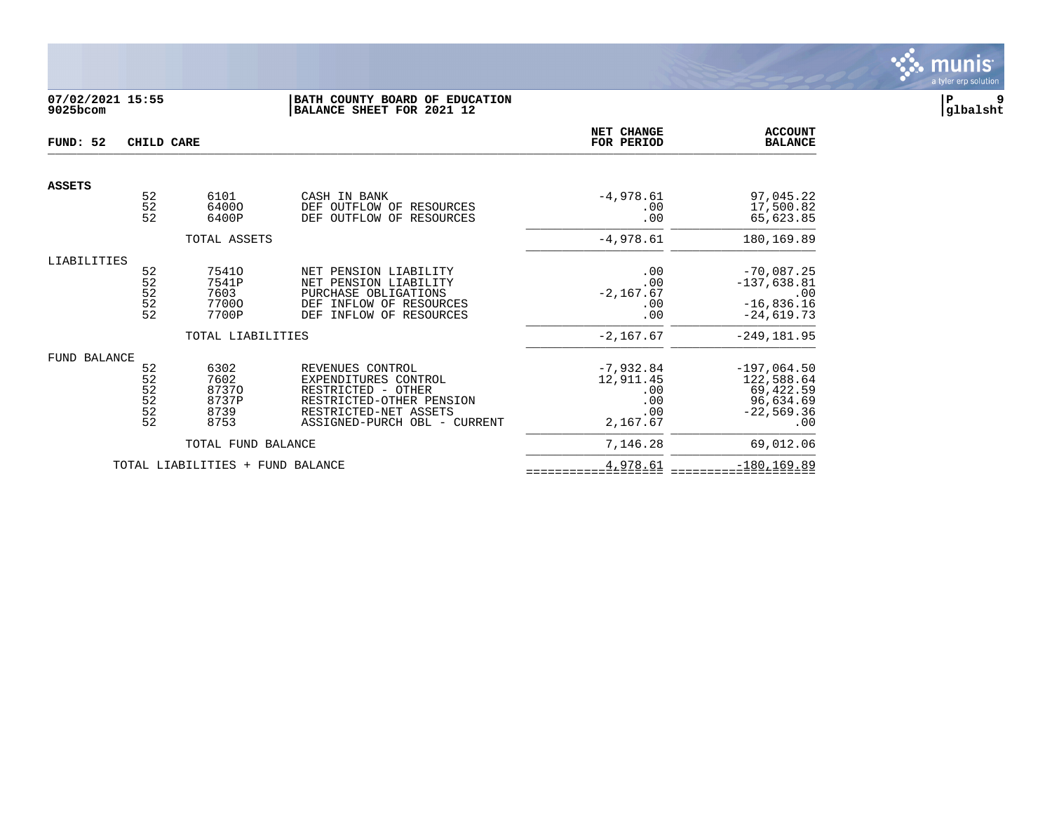

# **07/02/2021 15:55 |BATH COUNTY BOARD OF EDUCATION |P 9 9025bcom |BALANCE SHEET FOR 2021 12 |glbalsht**

| FUND: 52<br>CHILD CARE |                                                                                          |                                                               |                                                                                                                                                     | <b>NET CHANGE</b><br>FOR PERIOD                           | <b>ACCOUNT</b><br><b>BALANCE</b>                                                       |
|------------------------|------------------------------------------------------------------------------------------|---------------------------------------------------------------|-----------------------------------------------------------------------------------------------------------------------------------------------------|-----------------------------------------------------------|----------------------------------------------------------------------------------------|
| <b>ASSETS</b>          |                                                                                          |                                                               |                                                                                                                                                     |                                                           |                                                                                        |
|                        | 52<br>52<br>52                                                                           | 6101<br>64000<br>6400P                                        | CASH IN BANK<br>DEF OUTFLOW OF RESOURCES<br>OUTFLOW OF<br><b>DEF</b><br>RESOURCES                                                                   | $-4,978.61$<br>.00<br>.00                                 | 97,045.22<br>17,500.82<br>65,623.85                                                    |
|                        |                                                                                          | TOTAL ASSETS                                                  |                                                                                                                                                     | $-4,978.61$                                               | 180,169.89                                                                             |
| LIABILITIES            | 52<br>$\begin{array}{c} 52 \\ 52 \end{array}$<br>$\begin{array}{c} 52 \\ 52 \end{array}$ | 75410<br>7541P<br>7603<br>77000<br>7700P<br>TOTAL LIABILITIES | NET PENSION LIABILITY<br>NET PENSION LIABILITY<br>PURCHASE OBLIGATIONS<br>INFLOW OF RESOURCES<br>DEF<br>INFLOW OF RESOURCES<br>DEF                  | .00<br>.00<br>$-2, 167.67$<br>.00<br>.00<br>$-2,167.67$   | $-70,087.25$<br>$-137,638.81$<br>.00<br>$-16,836.16$<br>$-24,619.73$<br>$-249, 181.95$ |
| FUND BALANCE           | 52<br>52<br>$\frac{52}{52}$<br>52<br>52                                                  | 6302<br>7602<br>87370<br>8737P<br>8739<br>8753                | REVENUES CONTROL<br>EXPENDITURES CONTROL<br>RESTRICTED - OTHER<br>RESTRICTED-OTHER PENSION<br>RESTRICTED-NET ASSETS<br>ASSIGNED-PURCH OBL - CURRENT | $-7,932.84$<br>12,911.45<br>.00<br>.00<br>.00<br>2,167.67 | $-197,064.50$<br>122,588.64<br>69,422.59<br>96,634.69<br>$-22,569.36$<br>.00           |
|                        |                                                                                          | TOTAL FUND BALANCE                                            |                                                                                                                                                     | 7,146.28                                                  | 69,012.06                                                                              |
|                        |                                                                                          | TOTAL LIABILITIES + FUND BALANCE                              |                                                                                                                                                     | 4,978.61                                                  | $-180, 169.89$                                                                         |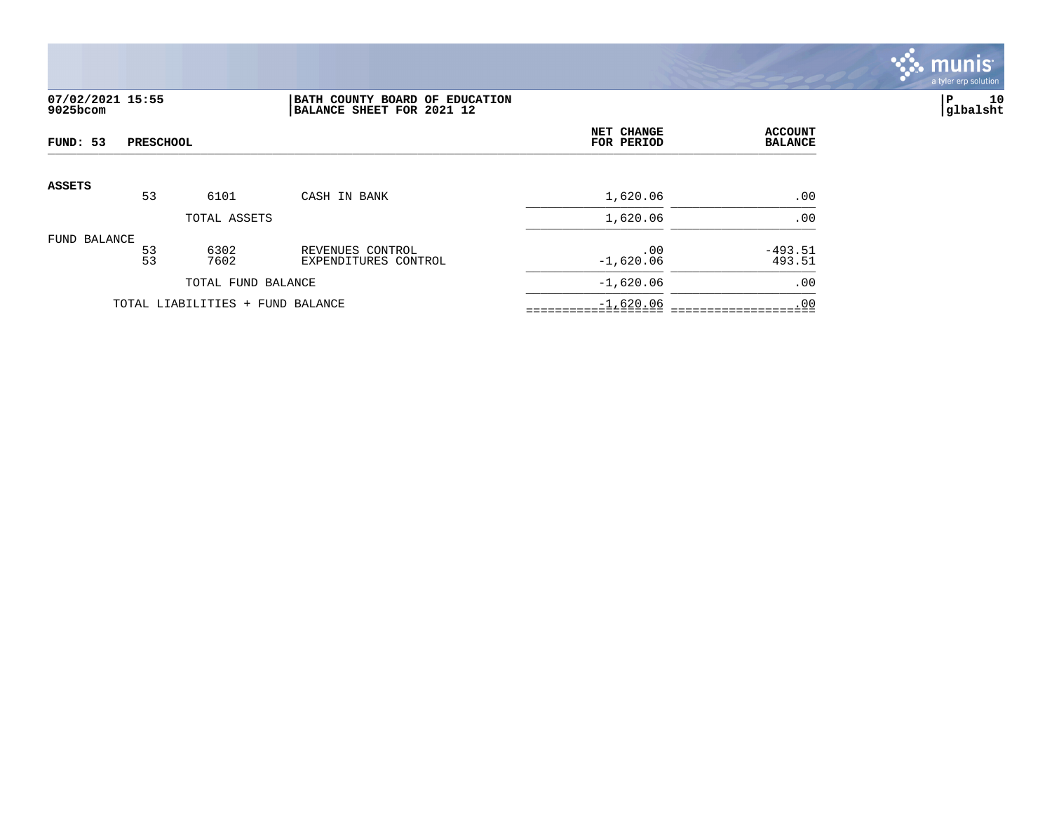

# **07/02/2021 15:55 |BATH COUNTY BOARD OF EDUCATION |P 10 9025bcom |BALANCE SHEET FOR 2021 12 |glbalsht**

| FUND: 53      | <b>PRESCHOOL</b> |                                  |                                          | <b>NET CHANGE</b><br>FOR PERIOD | <b>ACCOUNT</b><br><b>BALANCE</b> |
|---------------|------------------|----------------------------------|------------------------------------------|---------------------------------|----------------------------------|
| <b>ASSETS</b> |                  |                                  |                                          |                                 |                                  |
|               | 53               | 6101                             | CASH IN BANK                             | 1,620.06                        | .00                              |
|               |                  | TOTAL ASSETS                     |                                          | 1,620.06                        | .00                              |
| FUND BALANCE  | $\frac{53}{53}$  | 6302<br>7602                     | REVENUES CONTROL<br>EXPENDITURES CONTROL | .00<br>$-1,620.06$              | $-493.51$<br>493.51              |
|               |                  | TOTAL FUND BALANCE               |                                          | $-1,620.06$                     | .00                              |
|               |                  | TOTAL LIABILITIES + FUND BALANCE |                                          | $-1,620.06$                     | .00                              |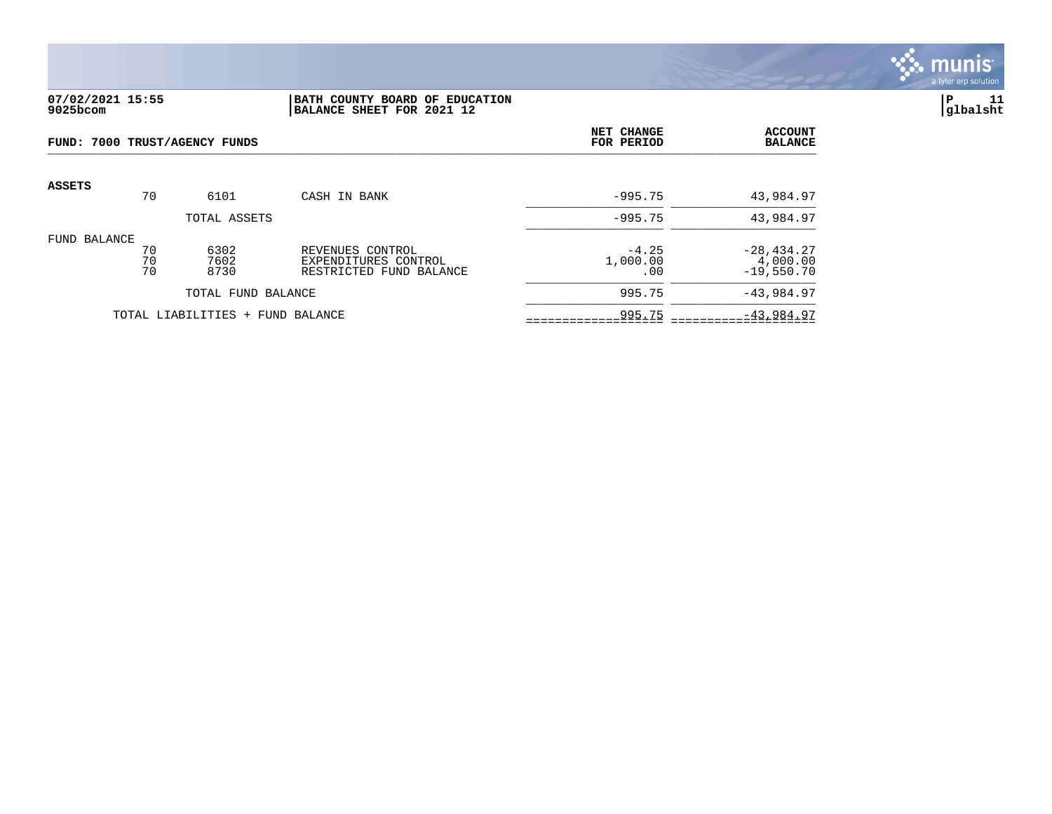

## **07/02/2021 15:55 |BATH COUNTY BOARD OF EDUCATION |P 11 9025bcom |BALANCE SHEET FOR 2021 12 |glbalsht**

| FUND: 7000 TRUST/AGENCY FUNDS |                |                                  |                                                                     | NET CHANGE<br>FOR PERIOD   | <b>ACCOUNT</b><br><b>BALANCE</b>          |
|-------------------------------|----------------|----------------------------------|---------------------------------------------------------------------|----------------------------|-------------------------------------------|
| <b>ASSETS</b>                 | 70             | 6101                             | CASH IN BANK                                                        | $-995.75$                  | 43,984.97                                 |
|                               |                | TOTAL ASSETS                     |                                                                     | $-995.75$                  | 43,984.97                                 |
| FUND BALANCE                  | 70<br>70<br>70 | 6302<br>7602<br>8730             | REVENUES CONTROL<br>EXPENDITURES CONTROL<br>RESTRICTED FUND BALANCE | $-4.25$<br>1,000.00<br>.00 | $-28, 434.27$<br>4,000.00<br>$-19,550.70$ |
|                               |                | TOTAL FUND BALANCE               |                                                                     | 995.75                     | $-43,984.97$                              |
|                               |                | TOTAL LIABILITIES + FUND BALANCE |                                                                     | 995.75                     | $-43,984.97$                              |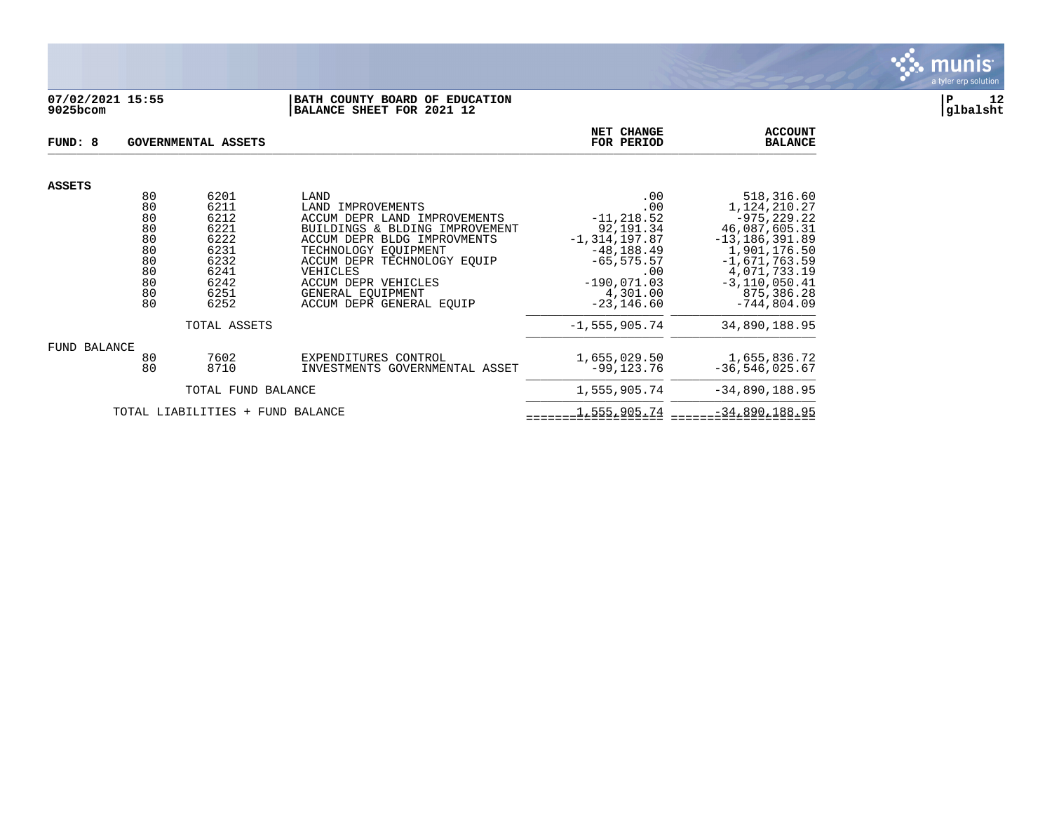

## **07/02/2021 15:55 |BATH COUNTY BOARD OF EDUCATION |P 12 9025bcom |BALANCE SHEET FOR 2021 12 |glbalsht**

| FUND: 8       | GOVERNMENTAL ASSETS                                            |                                                                                      |                                                                                                                                                                                                                                                                       |                                                                                                                                                      | <b>ACCOUNT</b><br><b>BALANCE</b>                                                                                                                                                           |
|---------------|----------------------------------------------------------------|--------------------------------------------------------------------------------------|-----------------------------------------------------------------------------------------------------------------------------------------------------------------------------------------------------------------------------------------------------------------------|------------------------------------------------------------------------------------------------------------------------------------------------------|--------------------------------------------------------------------------------------------------------------------------------------------------------------------------------------------|
| <b>ASSETS</b> |                                                                |                                                                                      |                                                                                                                                                                                                                                                                       |                                                                                                                                                      |                                                                                                                                                                                            |
|               | 80<br>80<br>80<br>80<br>80<br>80<br>80<br>80<br>80<br>80<br>80 | 6201<br>6211<br>6212<br>6221<br>6222<br>6231<br>6232<br>6241<br>6242<br>6251<br>6252 | LAND<br>LAND IMPROVEMENTS<br>ACCUM DEPR LAND IMPROVEMENTS<br>BUILDINGS & BLDING IMPROVEMENT<br>ACCUM DEPR BLDG IMPROVMENTS<br>TECHNOLOGY EQUIPMENT<br>ACCUM DEPR TECHNOLOGY EOUIP<br>VEHICLES<br>ACCUM DEPR VEHICLES<br>GENERAL EOUIPMENT<br>ACCUM DEPR GENERAL EOUIP | .00<br>.00<br>$-11, 218.52$<br>92,191.34<br>$-1, 314, 197.87$<br>$-48, 188.49$<br>$-65, 575.57$<br>.00<br>$-190,071.03$<br>4,301.00<br>$-23, 146.60$ | 518,316.60<br>1,124,210.27<br>$-975, 229.22$<br>46,087,605.31<br>$-13, 186, 391.89$<br>1,901,176.50<br>$-1,671,763.59$<br>4,071,733.19<br>$-3, 110, 050.41$<br>875,386.28<br>$-744.804.09$ |
|               |                                                                | TOTAL ASSETS                                                                         |                                                                                                                                                                                                                                                                       | $-1, 555, 905.74$                                                                                                                                    | 34,890,188.95                                                                                                                                                                              |
| FUND BALANCE  | 80<br>80                                                       | 7602<br>8710                                                                         | EXPENDITURES CONTROL<br>INVESTMENTS GOVERNMENTAL ASSET                                                                                                                                                                                                                | 1,655,029.50<br>$-99,123.76$                                                                                                                         | 1,655,836.72<br>$-36, 546, 025.67$                                                                                                                                                         |
|               |                                                                | TOTAL FUND BALANCE                                                                   |                                                                                                                                                                                                                                                                       | 1,555,905.74                                                                                                                                         | $-34,890,188.95$                                                                                                                                                                           |
|               |                                                                | TOTAL LIABILITIES + FUND BALANCE                                                     |                                                                                                                                                                                                                                                                       | 1,555,905.74                                                                                                                                         | $-34,890,188.95$                                                                                                                                                                           |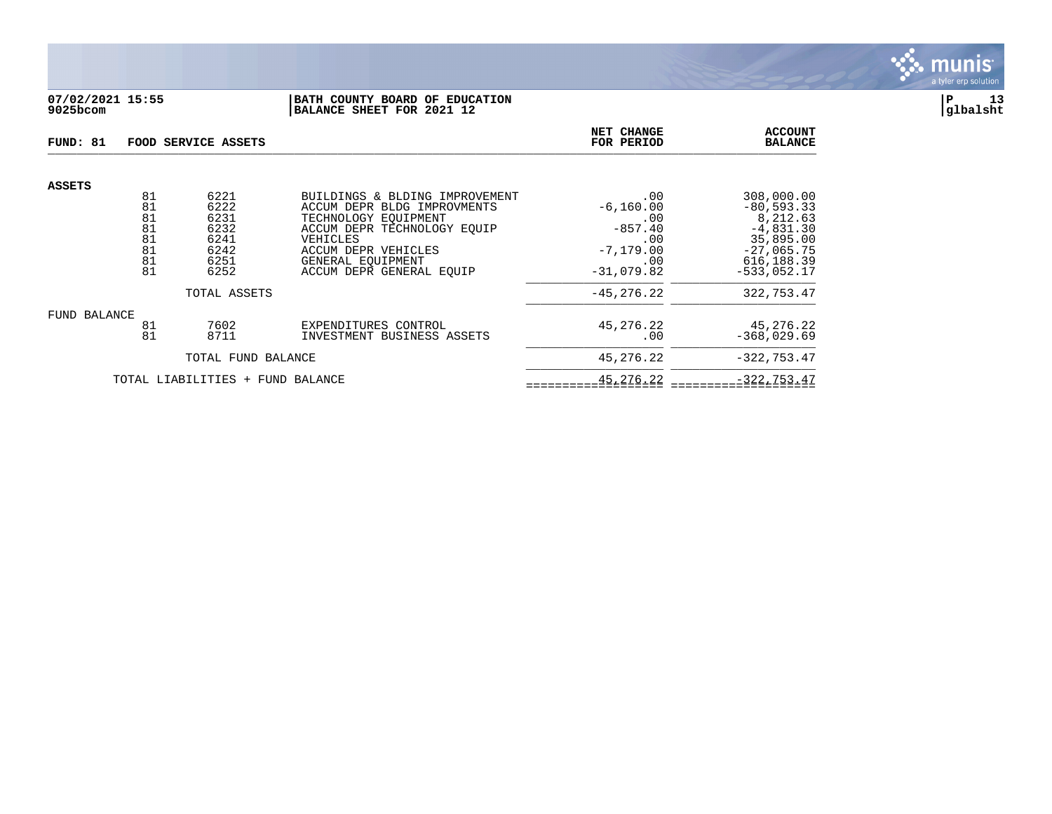

# **07/02/2021 15:55 |BATH COUNTY BOARD OF EDUCATION |P 13 9025bcom |BALANCE SHEET FOR 2021 12 |glbalsht**

| FUND: 81                         |                                              | FOOD SERVICE ASSETS                                          | <b>NET CHANGE</b><br>FOR PERIOD                                                                                                                                                                          | <b>ACCOUNT</b><br><b>BALANCE</b>                                                      |                                                                                                                     |  |  |  |
|----------------------------------|----------------------------------------------|--------------------------------------------------------------|----------------------------------------------------------------------------------------------------------------------------------------------------------------------------------------------------------|---------------------------------------------------------------------------------------|---------------------------------------------------------------------------------------------------------------------|--|--|--|
| <b>ASSETS</b>                    |                                              |                                                              |                                                                                                                                                                                                          |                                                                                       |                                                                                                                     |  |  |  |
|                                  | 81<br>81<br>81<br>81<br>81<br>81<br>81<br>81 | 6221<br>6222<br>6231<br>6232<br>6241<br>6242<br>6251<br>6252 | BUILDINGS & BLDING IMPROVEMENT<br>ACCUM DEPR BLDG IMPROVMENTS<br>TECHNOLOGY EOUIPMENT<br>ACCUM DEPR TECHNOLOGY EQUIP<br>VEHICLES<br>ACCUM DEPR VEHICLES<br>GENERAL EOUIPMENT<br>ACCUM DEPR GENERAL EQUIP | .00<br>$-6, 160.00$<br>.00<br>$-857.40$<br>.00<br>$-7, 179.00$<br>.00<br>$-31,079.82$ | 308,000.00<br>$-80, 593.33$<br>8,212.63<br>$-4,831.30$<br>35,895.00<br>$-27,065.75$<br>616, 188.39<br>$-533.052.17$ |  |  |  |
|                                  |                                              | TOTAL ASSETS                                                 | $-45, 276, 22$                                                                                                                                                                                           | 322,753.47                                                                            |                                                                                                                     |  |  |  |
| FUND BALANCE                     | 81<br>81                                     | 7602<br>8711                                                 | EXPENDITURES CONTROL<br>INVESTMENT BUSINESS ASSETS                                                                                                                                                       | 45,276.22<br>.00                                                                      | 45,276.22<br>$-368,029.69$                                                                                          |  |  |  |
|                                  |                                              | TOTAL FUND BALANCE                                           | 45,276.22                                                                                                                                                                                                | $-322, 753.47$                                                                        |                                                                                                                     |  |  |  |
| TOTAL LIABILITIES + FUND BALANCE |                                              |                                                              |                                                                                                                                                                                                          | 45, 276. 22                                                                           | $-322, 753.47$                                                                                                      |  |  |  |